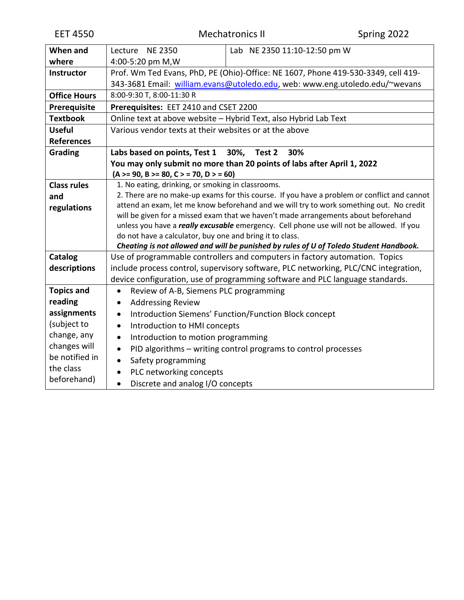| When and            | Lecture NE 2350<br>Lab NE 2350 11:10-12:50 pm W                                                 |  |  |  |  |
|---------------------|-------------------------------------------------------------------------------------------------|--|--|--|--|
| where               | 4:00-5:20 pm M, W                                                                               |  |  |  |  |
| <b>Instructor</b>   | Prof. Wm Ted Evans, PhD, PE (Ohio)-Office: NE 1607, Phone 419-530-3349, cell 419-               |  |  |  |  |
|                     | 343-3681 Email: william.evans@utoledo.edu, web: www.eng.utoledo.edu/~wevans                     |  |  |  |  |
| <b>Office Hours</b> | 8:00-9:30 T, 8:00-11:30 R                                                                       |  |  |  |  |
| Prerequisite        | Prerequisites: EET 2410 and CSET 2200                                                           |  |  |  |  |
| <b>Textbook</b>     | Online text at above website - Hybrid Text, also Hybrid Lab Text                                |  |  |  |  |
| <b>Useful</b>       | Various vendor texts at their websites or at the above                                          |  |  |  |  |
| <b>References</b>   |                                                                                                 |  |  |  |  |
| Grading             | Labs based on points, Test 1 30%, Test 2<br>30%                                                 |  |  |  |  |
|                     | You may only submit no more than 20 points of labs after April 1, 2022                          |  |  |  |  |
|                     | $(A \ge 90, B \ge 80, C \ge 70, D \ge 60)$                                                      |  |  |  |  |
| <b>Class rules</b>  | 1. No eating, drinking, or smoking in classrooms.                                               |  |  |  |  |
| and                 | 2. There are no make-up exams for this course. If you have a problem or conflict and cannot     |  |  |  |  |
| regulations         | attend an exam, let me know beforehand and we will try to work something out. No credit         |  |  |  |  |
|                     | will be given for a missed exam that we haven't made arrangements about beforehand              |  |  |  |  |
|                     | unless you have a <i>really excusable</i> emergency. Cell phone use will not be allowed. If you |  |  |  |  |
|                     | do not have a calculator, buy one and bring it to class.                                        |  |  |  |  |
|                     | Cheating is not allowed and will be punished by rules of U of Toledo Student Handbook.          |  |  |  |  |
| Catalog             | Use of programmable controllers and computers in factory automation. Topics                     |  |  |  |  |
| descriptions        | include process control, supervisory software, PLC networking, PLC/CNC integration,             |  |  |  |  |
|                     | device configuration, use of programming software and PLC language standards.                   |  |  |  |  |
| <b>Topics and</b>   | Review of A-B, Siemens PLC programming<br>$\bullet$                                             |  |  |  |  |
| reading             | <b>Addressing Review</b>                                                                        |  |  |  |  |
| assignments         | Introduction Siemens' Function/Function Block concept<br>$\bullet$                              |  |  |  |  |
| (subject to         | Introduction to HMI concepts<br>$\bullet$                                                       |  |  |  |  |
| change, any         | Introduction to motion programming<br>$\bullet$                                                 |  |  |  |  |
| changes will        | PID algorithms - writing control programs to control processes<br>$\bullet$                     |  |  |  |  |
| be notified in      | Safety programming                                                                              |  |  |  |  |
| the class           | PLC networking concepts                                                                         |  |  |  |  |
| beforehand)         | Discrete and analog I/O concepts<br>$\bullet$                                                   |  |  |  |  |
|                     |                                                                                                 |  |  |  |  |